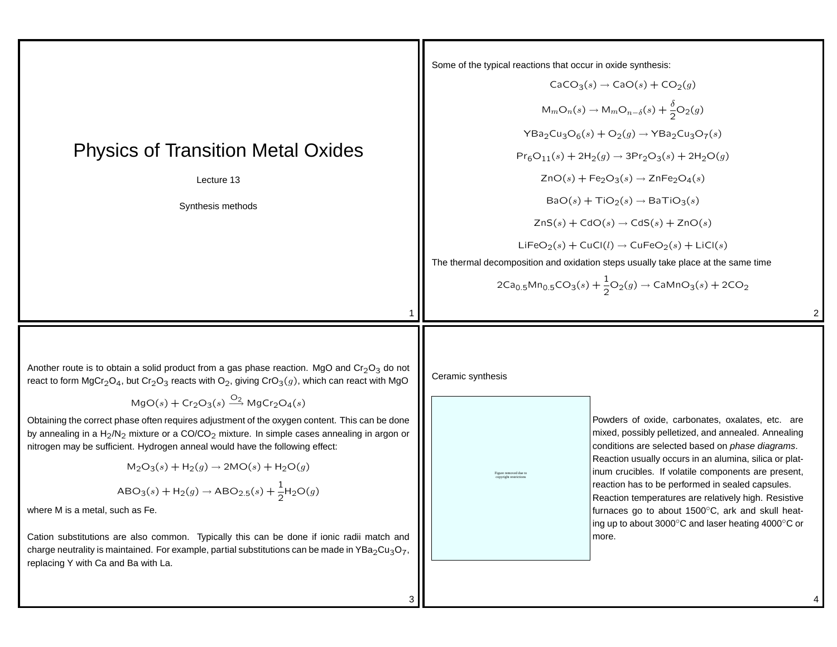## Physics of Transition Metal Oxides

Lecture 13

Synthesis methods

Some of the typical reactions that occur in oxide synthesis:

$$
CaCO_{3}(s) \rightarrow CaO(s) + CO_{2}(g)
$$
\n
$$
M_{m}O_{n}(s) \rightarrow M_{m}O_{n-\delta}(s) + \frac{\delta}{2}O_{2}(g)
$$
\n
$$
YBa_{2}Cu_{3}O_{6}(s) + O_{2}(g) \rightarrow YBa_{2}Cu_{3}O_{7}(s)
$$
\n
$$
Pr_{6}O_{11}(s) + 2H_{2}(g) \rightarrow 3Pr_{2}O_{3}(s) + 2H_{2}O(g)
$$
\n
$$
ZnO(s) + Fe_{2}O_{3}(s) \rightarrow ZnFe_{2}O_{4}(s)
$$
\n
$$
BaO(s) + TiO_{2}(s) \rightarrow BaTiO_{3}(s)
$$
\n
$$
ZnS(s) + CdO(s) \rightarrow CdS(s) + ZnO(s)
$$
\n
$$
LiFeO_{2}(s) + CuCl(l) \rightarrow CuFeO_{2}(s) + LiCl(s)
$$
\nThe thermal decomposition and oxidation steps usually take place at the same time

 $2Ca_{0.5}Mn_{0.5}CO_3(s) + \frac{1}{2}O_2(g) \rightarrow$  CaMn $O_3(s) + 2CO_2$ 

Another route is to obtain a solid product from a gas phase reaction. MgO and  $Cr_2O_3$  do not react to form  $MgCr_2O_4$ , but Cr<sub>2</sub>O<sub>3</sub> reacts with O<sub>2</sub>, giving CrO<sub>3</sub>(g), which can react with MgO

 $MgO(s) + Cr_2O_3(s) \stackrel{O_2}{\longrightarrow} MgCr_2O_4(s)$ 

Obtaining the correct phase often requires adjustment of the oxygen content. This can be done by annealing in a  $H_2/N_2$  mixture or a CO/CO<sub>2</sub> mixture. In simple cases annealing in argon or nitrogen may be sufficient. Hydrogen anneal would have the following effect:

$$
M_2O_3(s) + H_2(g) \to 2MO(s) + H_2O(g)
$$
  
ABO<sub>3</sub>(s) + H<sub>2</sub>(g) \to ABC<sub>2.5</sub>(s) +  $\frac{1}{2}$ H<sub>2</sub>O(g)

where M is <sup>a</sup> metal, such as Fe.

Cation substitutions are also common. Typically this can be done if ionic radii match and charge neutrality is maintained. For example, partial substitutions can be made in YBa<sub>2</sub>Cu<sub>3</sub>O<sub>7</sub>, replacing Y with Ca and Ba with La.

Ceramic synthesis

Figure removed due to copyright restrictions

Powders of oxide, carbonates, oxalates, etc. are mixed, possibly pelletized, and annealed. Annealing conditions are selected based on phase diagrams. Reaction usually occurs in an alumina, silica or platinum crucibles. If volatile components are present, reaction has to be performed in sealed capsules. Reaction temperatures are relatively high. Resistive furnaces go to about 1500℃, ark and skull heating up to about 3000◦C and laser heating 4000◦C or more.

2

4

1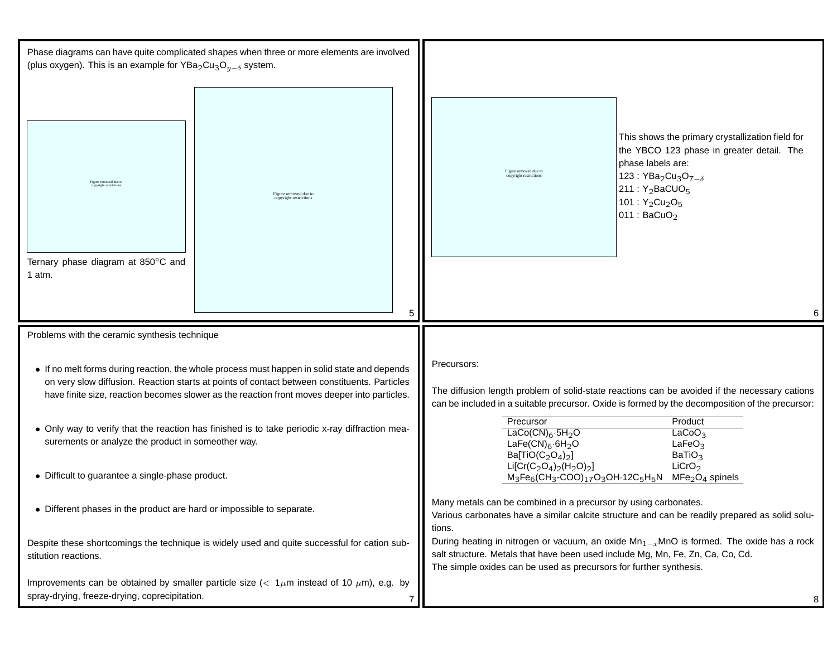| (plus oxygen). This is an example for YBa <sub>2</sub> Cu <sub>3</sub> O <sub>u-<math>\delta</math></sub> system.                                                                                                                                                                            | Phase diagrams can have quite complicated shapes when three or more elements are involved |                                                                                                                                                                                                                                                      |                                                                                                                                                                                                                                 |
|----------------------------------------------------------------------------------------------------------------------------------------------------------------------------------------------------------------------------------------------------------------------------------------------|-------------------------------------------------------------------------------------------|------------------------------------------------------------------------------------------------------------------------------------------------------------------------------------------------------------------------------------------------------|---------------------------------------------------------------------------------------------------------------------------------------------------------------------------------------------------------------------------------|
| Figure removed due to                                                                                                                                                                                                                                                                        | Figure removed due to<br>copyright restriction                                            |                                                                                                                                                                                                                                                      | This shows the primary crystallization field for<br>the YBCO 123 phase in greater detail. The<br>phase labels are:<br>Figure removed due to<br>123 : $YBa2Cu3O7-copyright restrictions211 : Y_2BaCUO5101 : Y_2Cu2O5011: BaCuO2$ |
| Ternary phase diagram at 850°C and<br>1 atm.                                                                                                                                                                                                                                                 |                                                                                           |                                                                                                                                                                                                                                                      |                                                                                                                                                                                                                                 |
|                                                                                                                                                                                                                                                                                              |                                                                                           | 5                                                                                                                                                                                                                                                    |                                                                                                                                                                                                                                 |
| Problems with the ceramic synthesis technique                                                                                                                                                                                                                                                |                                                                                           |                                                                                                                                                                                                                                                      |                                                                                                                                                                                                                                 |
| • If no melt forms during reaction, the whole process must happen in solid state and depends<br>on very slow diffusion. Reaction starts at points of contact between constituents. Particles<br>have finite size, reaction becomes slower as the reaction front moves deeper into particles. |                                                                                           | Precursors:<br>The diffusion length problem of solid-state reactions can be avoided if the necessary cations<br>can be included in a suitable precursor. Oxide is formed by the decomposition of the precursor:                                      |                                                                                                                                                                                                                                 |
| • Only way to verify that the reaction has finished is to take periodic x-ray diffraction mea-<br>surements or analyze the product in someother way.                                                                                                                                         |                                                                                           | Precursor<br>Product<br>LaCo(CN) $_6$ ·5H <sub>2</sub> O<br>LaCoO <sub>3</sub><br>LaFe(CN) $_6$ ·6H <sub>2</sub> O<br>LaFeO <sub>3</sub><br>Ba[TiO( $C_2O_4$ ) <sub>2</sub> ]<br>BaTiO <sub>3</sub>                                                  |                                                                                                                                                                                                                                 |
| • Difficult to guarantee a single-phase product.                                                                                                                                                                                                                                             |                                                                                           | LiCrO <sub>2</sub><br>Li[Cr(C <sub>2</sub> O <sub>4</sub> ) <sub>2</sub> (H <sub>2</sub> O) <sub>2</sub> ]<br>$M_3Fe_6$ (CH <sub>3</sub> -COO) <sub>17</sub> O <sub>3</sub> OH·12C <sub>5</sub> H <sub>5</sub> N<br>$MFe2O4$ spinels                 |                                                                                                                                                                                                                                 |
| Different phases in the product are hard or impossible to separate                                                                                                                                                                                                                           |                                                                                           | Many metals can be combined in a precursor by using carbonates.<br>Various carbonates have a similar calcite structure and can be readily prepared as solid solu-<br>tions.                                                                          |                                                                                                                                                                                                                                 |
| Despite these shortcomings the technique is widely used and quite successful for cation sub-<br>stitution reactions.                                                                                                                                                                         |                                                                                           | During heating in nitrogen or vacuum, an oxide $Mn_{1-x}MnO$ is formed. The oxide has a rock<br>salt structure. Metals that have been used include Mg, Mn, Fe, Zn, Ca, Co, Cd.<br>The simple oxides can be used as precursors for further synthesis. |                                                                                                                                                                                                                                 |
| Improvements can be obtained by smaller particle size ( $< 1 \mu m$ instead of 10 $\mu m$ ), e.g. by<br>spray-drying, freeze-drying, coprecipitation.                                                                                                                                        |                                                                                           | 8                                                                                                                                                                                                                                                    |                                                                                                                                                                                                                                 |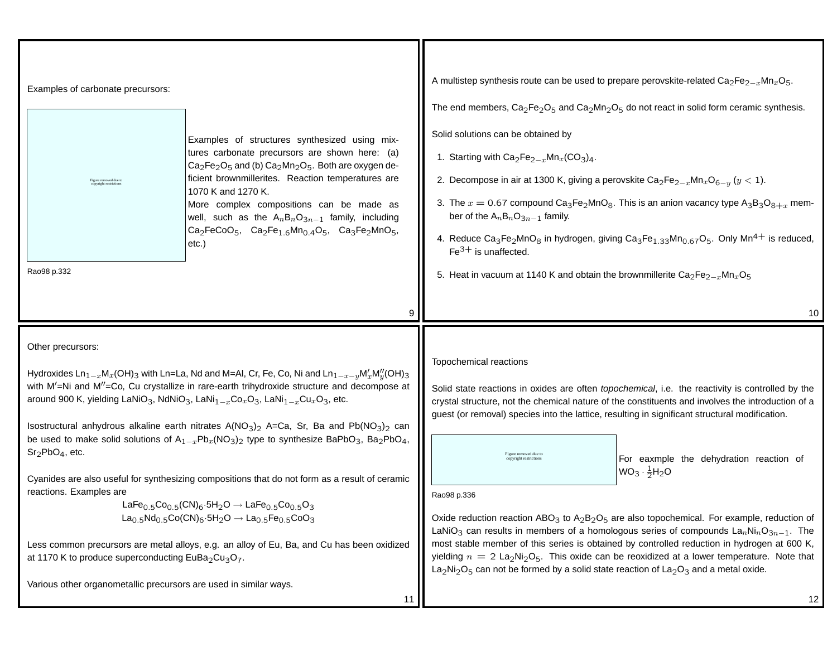| Examples of carbonate precursors:<br>Examples of structures synthesized using mix-<br>tures carbonate precursors are shown here: (a)<br>$Ca2Fe2O5$ and (b) $Ca2Mn2O5$ . Both are oxygen de-<br>ficient brownmillerites. Reaction temperatures are<br>Figure removed due t<br>1070 K and 1270 K.<br>More complex compositions can be made as<br>well, such as the $A_nB_nO_{3n-1}$ family, including<br>Ca <sub>2</sub> FeCoO <sub>5</sub> , Ca <sub>2</sub> Fe <sub>1.6</sub> Mn <sub>0.4</sub> O <sub>5</sub> , Ca <sub>3</sub> Fe <sub>2</sub> MnO <sub>5</sub> ,<br>etc.)<br>Rao98 p.332                                                                                                                                                                                                                                                                                                                                                                                                                                                                                                                                                                                                                                                                                                                                                    | A multistep synthesis route can be used to prepare perovskite-related $Ca_2Fe_{2-x}Mn_xO_5$ .<br>The end members, $Ca_2Fe_2O_5$ and $Ca_2Mn_2O_5$ do not react in solid form ceramic synthesis.<br>Solid solutions can be obtained by<br>1. Starting with $Ca_2Fe_{2-x}Mn_x(CO_3)_4$ .<br>2. Decompose in air at 1300 K, giving a perovskite $Ca_2Fe_{2-x}Mn_xO_{6-y}$ ( $y < 1$ ).<br>3. The $x = 0.67$ compound Ca <sub>3</sub> Fe <sub>2</sub> MnO <sub>8</sub> . This is an anion vacancy type $A_3B_3O_{8+x}$ mem-<br>ber of the $A_nB_nO_{3n-1}$ family.<br>4. Reduce Ca <sub>3</sub> Fe <sub>2</sub> MnO <sub>8</sub> in hydrogen, giving Ca <sub>3</sub> Fe <sub>1.33</sub> Mn <sub>0.67</sub> O <sub>5</sub> . Only Mn <sup>4+</sup> is reduced,<br>$Fe3+$ is unaffected.<br>5. Heat in vacuum at 1140 K and obtain the brownmillerite $Ca_2Fe_{2-x}Mn_xO_5$<br>10                                                                                                                              |
|------------------------------------------------------------------------------------------------------------------------------------------------------------------------------------------------------------------------------------------------------------------------------------------------------------------------------------------------------------------------------------------------------------------------------------------------------------------------------------------------------------------------------------------------------------------------------------------------------------------------------------------------------------------------------------------------------------------------------------------------------------------------------------------------------------------------------------------------------------------------------------------------------------------------------------------------------------------------------------------------------------------------------------------------------------------------------------------------------------------------------------------------------------------------------------------------------------------------------------------------------------------------------------------------------------------------------------------------|----------------------------------------------------------------------------------------------------------------------------------------------------------------------------------------------------------------------------------------------------------------------------------------------------------------------------------------------------------------------------------------------------------------------------------------------------------------------------------------------------------------------------------------------------------------------------------------------------------------------------------------------------------------------------------------------------------------------------------------------------------------------------------------------------------------------------------------------------------------------------------------------------------------------------------------------------------------------------------------------------------|
| Other precursors:<br>Hydroxides $\text{Ln}_{1-x}\text{M}_x(\text{OH})_3$ with Ln=La, Nd and M=Al, Cr, Fe, Co, Ni and $\text{Ln}_{1-x-y}\text{M}'_x\text{M}''_y(\text{OH})_3$<br>with M'=Ni and M"=Co, Cu crystallize in rare-earth trihydroxide structure and decompose at<br>around 900 K, yielding LaNiO <sub>3</sub> , NdNiO <sub>3</sub> , LaNi <sub>1-x</sub> Co <sub>x</sub> O <sub>3</sub> , LaNi <sub>1-x</sub> Cu <sub>x</sub> O <sub>3</sub> , etc.<br>Isostructural anhydrous alkaline earth nitrates $A(NO3)2 A=Ca$ , Sr, Ba and $Pb(NO3)2$ can<br>be used to make solid solutions of $A_{1-x}Pb_x(NO_3)_2$ type to synthesize BaPbO <sub>3</sub> , Ba <sub>2</sub> PbO <sub>4</sub> ,<br>$Sr2PbO4$ , etc.<br>Cyanides are also useful for synthesizing compositions that do not form as a result of ceramic<br>reactions. Examples are<br>LaFe <sub>0.5</sub> Co <sub>0.5</sub> (CN) <sub>6</sub> .5H <sub>2</sub> O $\rightarrow$ LaFe <sub>0.5</sub> Co <sub>0.5</sub> O <sub>3</sub><br>$La_{0.5}Nd_{0.5}Co(CN)_6·5H_2O \rightarrow La_{0.5}Fe_{0.5}CoO_3$<br>Less common precursors are metal alloys, e.g. an alloy of Eu, Ba, and Cu has been oxidized<br>at 1170 K to produce superconducting EuBa <sub>2</sub> Cu <sub>3</sub> O <sub>7</sub> .<br>Various other organometallic precursors are used in similar ways.<br>11 | Topochemical reactions<br>Solid state reactions in oxides are often topochemical, i.e. the reactivity is controlled by the<br>crystal structure, not the chemical nature of the constituents and involves the introduction of a<br>guest (or removal) species into the lattice, resulting in significant structural modification.<br>For eaxmple the dehydration reaction of<br>$WO_3 \cdot \frac{1}{2}H_2O$<br>Rao98 p.336<br>Oxide reduction reaction ABO <sub>3</sub> to $A_2B_2O_5$ are also topochemical. For example, reduction of<br>LaNiO <sub>3</sub> can results in members of a homologous series of compounds $\text{La}_n\text{Ni}_n\text{O}_{3n-1}$ . The<br>most stable member of this series is obtained by controlled reduction in hydrogen at 600 K,<br>yielding $n = 2$ La <sub>2</sub> Ni <sub>2</sub> O <sub>5</sub> . This oxide can be reoxidized at a lower temperature. Note that<br>$La2Ni2O5$ can not be formed by a solid state reaction of $La2O3$ and a metal oxide.<br>12 |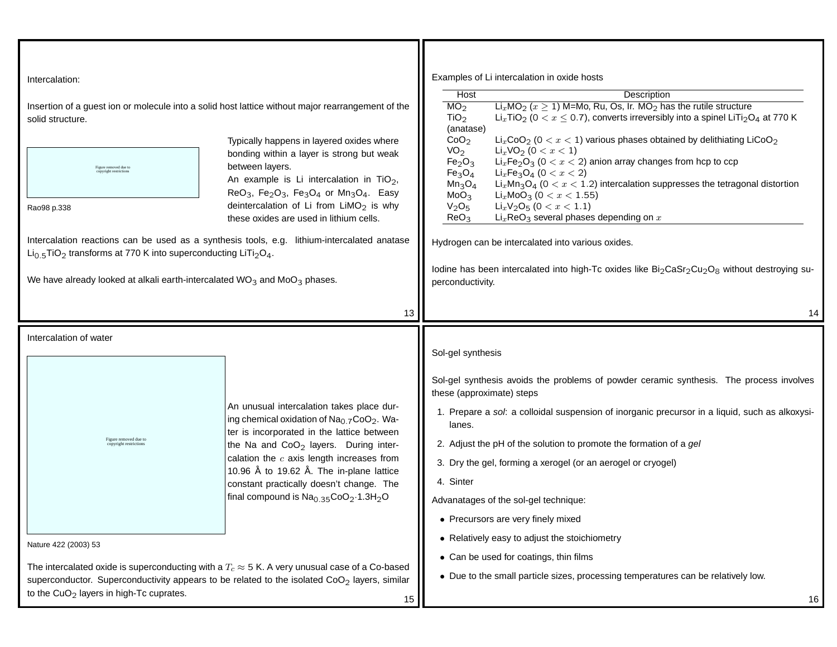| Intercalation:<br>Insertion of a guest ion or molecule into a solid host lattice without major rearrangement of the<br>solid structure.<br>Figure removed due to<br>copyright restrictions<br>Rao98 p.338<br>Intercalation reactions can be used as a synthesis tools, e.g. lithium-intercalated anatase<br>$Li_{0.5}TiO_2$ transforms at 770 K into superconducting LiTi <sub>2</sub> O <sub>4</sub> .<br>We have already looked at alkali earth-intercalated $WO3$ and $MoO3$ phases. | Typically happens in layered oxides where<br>bonding within a layer is strong but weak<br>between layers.<br>An example is Li intercalation in $TiO2$ ,<br>ReO <sub>3</sub> , Fe <sub>2</sub> O <sub>3</sub> , Fe <sub>3</sub> O <sub>4</sub> or Mn <sub>3</sub> O <sub>4</sub> . Easy<br>deintercalation of Li from $LiMO2$ is why<br>these oxides are used in lithium cells.                                                            | Examples of Li intercalation in oxide hosts<br>Host<br>Description<br>$Li_xMO_2$ ( $x \ge 1$ ) M=Mo, Ru, Os, Ir. MO <sub>2</sub> has the rutile structure<br>MO <sub>2</sub><br>$Li_xTiO_2$ (0 $< x \leq 0.7$ ), converts irreversibly into a spinel LiTi <sub>2</sub> O <sub>4</sub> at 770 K<br>TiO <sub>2</sub><br>(anatase)<br>$LixCoO2$ (0 < $x$ < 1) various phases obtained by delithiating LiCoO <sub>2</sub><br>CoO <sub>2</sub><br>VO <sub>2</sub><br>$Li_xVO_2 (0 < x < 1)$<br>$LixFe2O3$ (0 < $x$ < 2) anion array changes from hcp to ccp<br>Fe <sub>2</sub> O <sub>3</sub><br>Fe <sub>3</sub> O <sub>4</sub><br>$Li_xFe_3O_4$ (0 < $x$ < 2)<br>$Mn_3O_4$<br>$LixMn3O4$ (0 < $x$ < 1.2) intercalation suppresses the tetragonal distortion<br>MoO <sub>3</sub><br>$Li_xMoO_3$ (0 < $x$ < 1.55)<br>$Li_xV_2O_5$ (0 < $x$ < 1.1)<br>V <sub>2</sub> O <sub>5</sub><br>$Lix$ ReO <sub>3</sub> several phases depending on $x$<br>ReO <sub>3</sub><br>Hydrogen can be intercalated into various oxides.<br>lodine has been intercalated into high-Tc oxides like Bi <sub>2</sub> CaSr <sub>2</sub> Cu <sub>2</sub> O <sub>8</sub> without destroying su-<br>perconductivity. |
|-----------------------------------------------------------------------------------------------------------------------------------------------------------------------------------------------------------------------------------------------------------------------------------------------------------------------------------------------------------------------------------------------------------------------------------------------------------------------------------------|-------------------------------------------------------------------------------------------------------------------------------------------------------------------------------------------------------------------------------------------------------------------------------------------------------------------------------------------------------------------------------------------------------------------------------------------|--------------------------------------------------------------------------------------------------------------------------------------------------------------------------------------------------------------------------------------------------------------------------------------------------------------------------------------------------------------------------------------------------------------------------------------------------------------------------------------------------------------------------------------------------------------------------------------------------------------------------------------------------------------------------------------------------------------------------------------------------------------------------------------------------------------------------------------------------------------------------------------------------------------------------------------------------------------------------------------------------------------------------------------------------------------------------------------------------------------------------------------------------------------------------------------|
|                                                                                                                                                                                                                                                                                                                                                                                                                                                                                         | 13                                                                                                                                                                                                                                                                                                                                                                                                                                        | 14                                                                                                                                                                                                                                                                                                                                                                                                                                                                                                                                                                                                                                                                                                                                                                                                                                                                                                                                                                                                                                                                                                                                                                                   |
| Intercalation of water<br>igure removed due to                                                                                                                                                                                                                                                                                                                                                                                                                                          | An unusual intercalation takes place dur-<br>ing chemical oxidation of Na <sub>0.7</sub> CoO <sub>2</sub> . Wa-<br>ter is incorporated in the lattice between<br>the Na and CoO <sub>2</sub> layers. During inter-<br>calation the $c$ axis length increases from<br>10.96 Å to 19.62 Å. The in-plane lattice<br>constant practically doesn't change. The<br>final compound is $\text{Na}_{0.35}\text{CoO}_2 \cdot 1.3\text{H}_2\text{O}$ | Sol-gel synthesis<br>Sol-gel synthesis avoids the problems of powder ceramic synthesis. The process involves<br>these (approximate) steps<br>1. Prepare a sol: a colloidal suspension of inorganic precursor in a liquid, such as alkoxysi-<br>lanes.<br>2. Adjust the pH of the solution to promote the formation of a gel<br>3. Dry the gel, forming a xerogel (or an aerogel or cryogel)                                                                                                                                                                                                                                                                                                                                                                                                                                                                                                                                                                                                                                                                                                                                                                                          |
|                                                                                                                                                                                                                                                                                                                                                                                                                                                                                         |                                                                                                                                                                                                                                                                                                                                                                                                                                           | 4. Sinter<br>Advanatages of the sol-gel technique:<br>• Precursors are very finely mixed                                                                                                                                                                                                                                                                                                                                                                                                                                                                                                                                                                                                                                                                                                                                                                                                                                                                                                                                                                                                                                                                                             |
| Nature 422 (2003) 53                                                                                                                                                                                                                                                                                                                                                                                                                                                                    |                                                                                                                                                                                                                                                                                                                                                                                                                                           | • Relatively easy to adjust the stoichiometry                                                                                                                                                                                                                                                                                                                                                                                                                                                                                                                                                                                                                                                                                                                                                                                                                                                                                                                                                                                                                                                                                                                                        |
| The intercalated oxide is superconducting with a $T_c \approx 5$ K. A very unusual case of a Co-based<br>superconductor. Superconductivity appears to be related to the isolated $CoO2$ layers, similar<br>to the $CuO2$ layers in high-Tc cuprates.<br>15                                                                                                                                                                                                                              |                                                                                                                                                                                                                                                                                                                                                                                                                                           | • Can be used for coatings, thin films<br>• Due to the small particle sizes, processing temperatures can be relatively low.<br>16                                                                                                                                                                                                                                                                                                                                                                                                                                                                                                                                                                                                                                                                                                                                                                                                                                                                                                                                                                                                                                                    |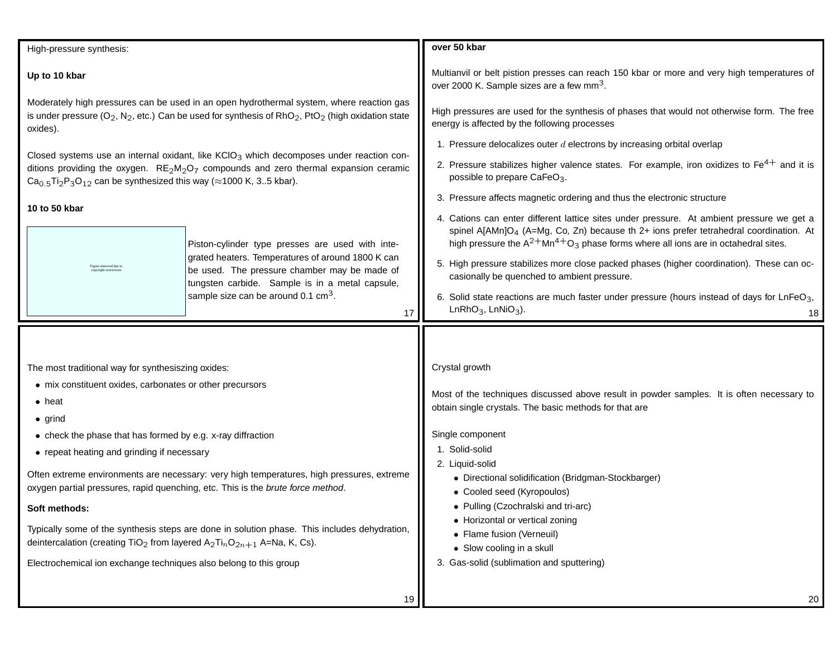| High-pressure synthesis:                                                                                                                                                                                                                                                         |                                                                                                                                                                                                                                                                                            | over 50 kbar                                                                                                                                         |
|----------------------------------------------------------------------------------------------------------------------------------------------------------------------------------------------------------------------------------------------------------------------------------|--------------------------------------------------------------------------------------------------------------------------------------------------------------------------------------------------------------------------------------------------------------------------------------------|------------------------------------------------------------------------------------------------------------------------------------------------------|
| Up to 10 kbar                                                                                                                                                                                                                                                                    |                                                                                                                                                                                                                                                                                            | Multianvil or belt pistion presses can reach 150 kbar or more and very high temperatures of<br>over 2000 K. Sample sizes are a few mm <sup>3</sup> . |
| Moderately high pressures can be used in an open hydrothermal system, where reaction gas<br>is under pressure ( $O_2$ , N <sub>2</sub> , etc.) Can be used for synthesis of RhO <sub>2</sub> , PtO <sub>2</sub> (high oxidation state<br>oxides).                                |                                                                                                                                                                                                                                                                                            | High pressures are used for the synthesis of phases that would not otherwise form. The free<br>energy is affected by the following processes         |
|                                                                                                                                                                                                                                                                                  |                                                                                                                                                                                                                                                                                            | 1. Pressure delocalizes outer $d$ electrons by increasing orbital overlap                                                                            |
| Closed systems use an internal oxidant, like $KClO3$ which decomposes under reaction con-<br>ditions providing the oxygen. $RE_2M_2O_7$ compounds and zero thermal expansion ceramic<br>$Ca0.5Ti2P3O12$ can be synthesized this way ( $\approx$ 1000 K, 35 kbar).                |                                                                                                                                                                                                                                                                                            | 2. Pressure stabilizes higher valence states. For example, iron oxidizes to $Fe4+$ and it is<br>possible to prepare CaFeO <sub>3</sub> .             |
|                                                                                                                                                                                                                                                                                  |                                                                                                                                                                                                                                                                                            | 3. Pressure affects magnetic ordering and thus the electronic structure                                                                              |
| 10 to 50 kbar<br>Piston-cylinder type presses are used with inte-<br>grated heaters. Temperatures of around 1800 K can<br>be used. The pressure chamber may be made of<br>tungsten carbide. Sample is in a metal capsule,<br>sample size can be around 0.1 $\text{cm}^3$ .<br>17 | 4. Cations can enter different lattice sites under pressure. At ambient pressure we get a<br>spinel A[AMn]O <sub>4</sub> (A=Mg, Co, Zn) because th 2+ ions prefer tetrahedral coordination. At<br>high pressure the $A^{2+}Mn^{4+}O_3$ phase forms where all ions are in octahedral sites. |                                                                                                                                                      |
|                                                                                                                                                                                                                                                                                  |                                                                                                                                                                                                                                                                                            | 5. High pressure stabilizes more close packed phases (higher coordination). These can oc-<br>casionally be quenched to ambient pressure.             |
|                                                                                                                                                                                                                                                                                  |                                                                                                                                                                                                                                                                                            | 6. Solid state reactions are much faster under pressure (hours instead of days for $LnFeO3$ ,<br>$LnRhO3$ , $LnNiO3$ ).<br>18                        |
|                                                                                                                                                                                                                                                                                  |                                                                                                                                                                                                                                                                                            |                                                                                                                                                      |
| The most traditional way for synthesiszing oxides:                                                                                                                                                                                                                               |                                                                                                                                                                                                                                                                                            | Crystal growth                                                                                                                                       |
| • mix constituent oxides, carbonates or other precursors<br>$\bullet$ heat                                                                                                                                                                                                       |                                                                                                                                                                                                                                                                                            | Most of the techniques discussed above result in powder samples. It is often necessary to<br>obtain single crystals. The basic methods for that are  |
| $\bullet$ grind                                                                                                                                                                                                                                                                  |                                                                                                                                                                                                                                                                                            |                                                                                                                                                      |
| • check the phase that has formed by e.g. x-ray diffraction                                                                                                                                                                                                                      |                                                                                                                                                                                                                                                                                            | Single component                                                                                                                                     |
| • repeat heating and grinding if necessary                                                                                                                                                                                                                                       |                                                                                                                                                                                                                                                                                            | 1. Solid-solid<br>2. Liquid-solid                                                                                                                    |
| Often extreme environments are necessary: very high temperatures, high pressures, extreme<br>oxygen partial pressures, rapid quenching, etc. This is the brute force method.                                                                                                     |                                                                                                                                                                                                                                                                                            | • Directional solidification (Bridgman-Stockbarger)<br>• Cooled seed (Kyropoulos)                                                                    |
| Soft methods:                                                                                                                                                                                                                                                                    |                                                                                                                                                                                                                                                                                            |                                                                                                                                                      |
|                                                                                                                                                                                                                                                                                  |                                                                                                                                                                                                                                                                                            | • Pulling (Czochralski and tri-arc)                                                                                                                  |
| deintercalation (creating TiO <sub>2</sub> from layered $A_2Ti_nO_{2n+1}$ A=Na, K, Cs).                                                                                                                                                                                          | Typically some of the synthesis steps are done in solution phase. This includes dehydration,                                                                                                                                                                                               | • Horizontal or vertical zoning<br>• Flame fusion (Verneuil)<br>• Slow cooling in a skull                                                            |
| Electrochemical ion exchange techniques also belong to this group                                                                                                                                                                                                                |                                                                                                                                                                                                                                                                                            | 3. Gas-solid (sublimation and sputtering)                                                                                                            |
|                                                                                                                                                                                                                                                                                  |                                                                                                                                                                                                                                                                                            |                                                                                                                                                      |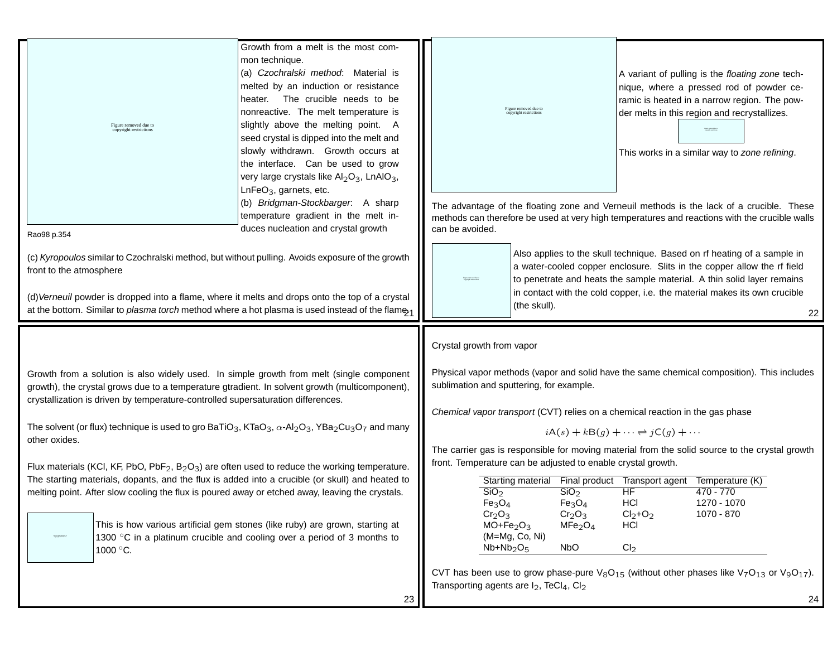| Growth from a melt is the most com-<br>mon technique.                                                                                                                                                                                                                                                                                                                                                                                                                                                                        |                                                                                                                                                                                                                                                                                                                                                                                                                       |
|------------------------------------------------------------------------------------------------------------------------------------------------------------------------------------------------------------------------------------------------------------------------------------------------------------------------------------------------------------------------------------------------------------------------------------------------------------------------------------------------------------------------------|-----------------------------------------------------------------------------------------------------------------------------------------------------------------------------------------------------------------------------------------------------------------------------------------------------------------------------------------------------------------------------------------------------------------------|
| (a) Czochralski method: Material is<br>melted by an induction or resistance<br>heater. The crucible needs to be<br>nonreactive. The melt temperature is<br>slightly above the melting point. A<br>Figure removed due to<br>copyright restrictions<br>seed crystal is dipped into the melt and<br>slowly withdrawn. Growth occurs at<br>the interface. Can be used to grow<br>very large crystals like Al <sub>2</sub> O <sub>3</sub> , LnAlO <sub>3</sub> ,<br>$LnFeO3$ , garnets, etc.<br>(b) Bridgman-Stockbarger. A sharp | A variant of pulling is the floating zone tech-<br>nique, where a pressed rod of powder ce-<br>ramic is heated in a narrow region. The pow-<br>Figure removed due to<br>der melts in this region and recrystallizes.<br>copyright restrictions<br><b>Text excel form</b><br>This works in a similar way to zone refining.<br>The advantage of the floating zone and Verneuil methods is the lack of a crucible. These |
| temperature gradient in the melt in-<br>duces nucleation and crystal growth                                                                                                                                                                                                                                                                                                                                                                                                                                                  | methods can therefore be used at very high temperatures and reactions with the crucible walls<br>can be avoided.                                                                                                                                                                                                                                                                                                      |
| Rao98 p.354                                                                                                                                                                                                                                                                                                                                                                                                                                                                                                                  |                                                                                                                                                                                                                                                                                                                                                                                                                       |
| (c) Kyropoulos similar to Czochralski method, but without pulling. Avoids exposure of the growth<br>front to the atmosphere<br>(d) Verneuil powder is dropped into a flame, where it melts and drops onto the top of a crystal<br>at the bottom. Similar to plasma torch method where a hot plasma is used instead of the flame <sub>1</sub>                                                                                                                                                                                 | Also applies to the skull technique. Based on rf heating of a sample in<br>a water-cooled copper enclosure. Slits in the copper allow the rf field<br>to penetrate and heats the sample material. A thin solid layer remains<br>Figure removed due to<br>repyright resistations<br>in contact with the cold copper, i.e. the material makes its own crucible<br>(the skull).<br>22                                    |
|                                                                                                                                                                                                                                                                                                                                                                                                                                                                                                                              |                                                                                                                                                                                                                                                                                                                                                                                                                       |
|                                                                                                                                                                                                                                                                                                                                                                                                                                                                                                                              |                                                                                                                                                                                                                                                                                                                                                                                                                       |
|                                                                                                                                                                                                                                                                                                                                                                                                                                                                                                                              | Crystal growth from vapor                                                                                                                                                                                                                                                                                                                                                                                             |
| Growth from a solution is also widely used. In simple growth from melt (single component<br>growth), the crystal grows due to a temperature gtradient. In solvent growth (multicomponent),                                                                                                                                                                                                                                                                                                                                   | Physical vapor methods (vapor and solid have the same chemical composition). This includes<br>sublimation and sputtering, for example.                                                                                                                                                                                                                                                                                |
| crystallization is driven by temperature-controlled supersaturation differences.                                                                                                                                                                                                                                                                                                                                                                                                                                             |                                                                                                                                                                                                                                                                                                                                                                                                                       |
| The solvent (or flux) technique is used to gro BaTiO <sub>3</sub> , KTaO <sub>3</sub> , $\alpha$ -Al <sub>2</sub> O <sub>3</sub> , YBa <sub>2</sub> Cu <sub>3</sub> O <sub>7</sub> and many                                                                                                                                                                                                                                                                                                                                  | Chemical vapor transport (CVT) relies on a chemical reaction in the gas phase                                                                                                                                                                                                                                                                                                                                         |
| other oxides.                                                                                                                                                                                                                                                                                                                                                                                                                                                                                                                | $iA(s) + kB(g) + \cdots \rightleftharpoons jC(g) + \cdots$                                                                                                                                                                                                                                                                                                                                                            |
|                                                                                                                                                                                                                                                                                                                                                                                                                                                                                                                              | The carrier gas is responsible for moving material from the solid source to the crystal growth<br>front. Temperature can be adjusted to enable crystal growth.                                                                                                                                                                                                                                                        |
| Flux materials (KCl, KF, PbO, PbF <sub>2</sub> , B <sub>2</sub> O <sub>3</sub> ) are often used to reduce the working temperature.<br>The starting materials, dopants, and the flux is added into a crucible (or skull) and heated to<br>melting point. After slow cooling the flux is poured away or etched away, leaving the crystals.                                                                                                                                                                                     | Starting material Final product Transport agent Temperature (K)<br>HF<br>SiO <sub>2</sub><br>$\overline{\text{SiO}}_2$<br>470 - 770<br>$Fe_{3}O_{4}$<br>HCI<br>Fe <sub>3</sub> O <sub>4</sub><br>1270 - 1070                                                                                                                                                                                                          |
| This is how various artificial gem stones (like ruby) are grown, starting at<br>1300 °C in a platinum crucible and cooling over a period of 3 months to<br>$\begin{array}{l} \mbox{Figure \textbf{concentration} }\\ \mbox{aligned for a given function} \end{array}$                                                                                                                                                                                                                                                        | 1070 - 870<br>Cr <sub>2</sub> O <sub>3</sub><br>Cr <sub>2</sub> O <sub>3</sub><br>$Cl_2 + O_2$<br>$MO + Fe2O3$<br>MFe <sub>2</sub> O <sub>4</sub><br><b>HCI</b><br>$(M=Mg, Co, Ni)$                                                                                                                                                                                                                                   |
| 1000 °C.                                                                                                                                                                                                                                                                                                                                                                                                                                                                                                                     | <b>NbO</b><br>Cl <sub>2</sub><br>$Nb+Nb2O5$                                                                                                                                                                                                                                                                                                                                                                           |
|                                                                                                                                                                                                                                                                                                                                                                                                                                                                                                                              | CVT has been use to grow phase-pure $V_8O_{15}$ (without other phases like $V_7O_{13}$ or $V_9O_{17}$ ).<br>Transporting agents are $I_2$ , TeCl <sub>4</sub> , Cl <sub>2</sub>                                                                                                                                                                                                                                       |